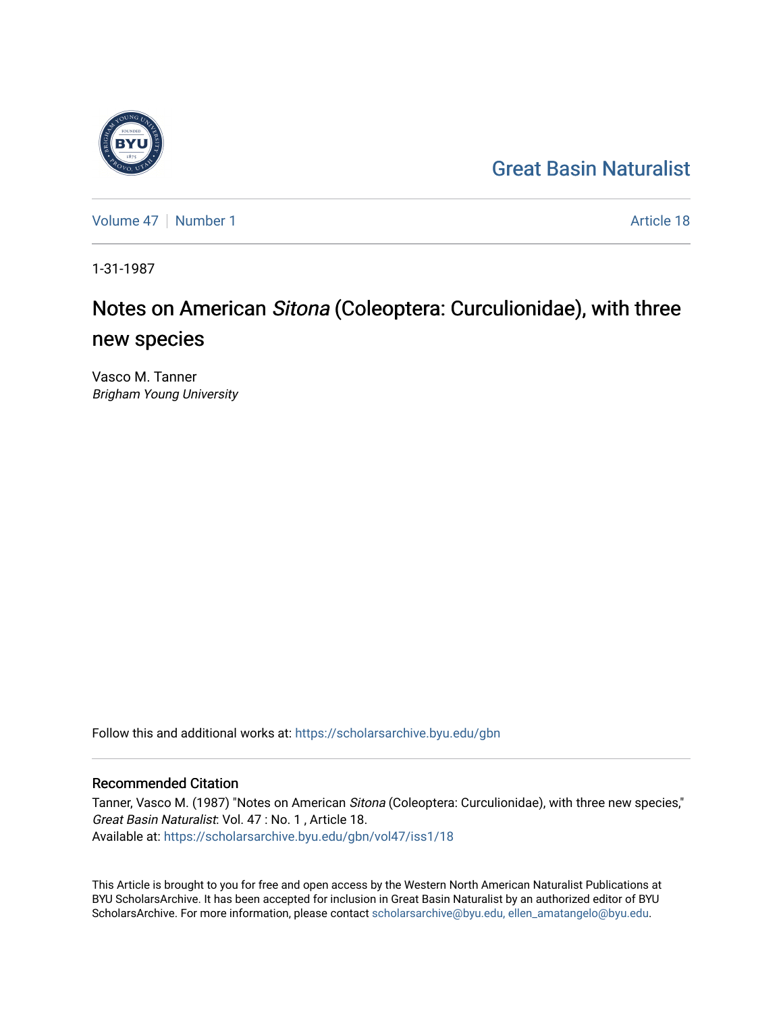## [Great Basin Naturalist](https://scholarsarchive.byu.edu/gbn)

[Volume 47](https://scholarsarchive.byu.edu/gbn/vol47) | [Number 1](https://scholarsarchive.byu.edu/gbn/vol47/iss1) Article 18

1-31-1987

# Notes on American Sitona (Coleoptera: Curculionidae), with three new species

Vasco M. Tanner Brigham Young University

Follow this and additional works at: [https://scholarsarchive.byu.edu/gbn](https://scholarsarchive.byu.edu/gbn?utm_source=scholarsarchive.byu.edu%2Fgbn%2Fvol47%2Fiss1%2F18&utm_medium=PDF&utm_campaign=PDFCoverPages) 

### Recommended Citation

Tanner, Vasco M. (1987) "Notes on American Sitona (Coleoptera: Curculionidae), with three new species," Great Basin Naturalist: Vol. 47 : No. 1 , Article 18. Available at: [https://scholarsarchive.byu.edu/gbn/vol47/iss1/18](https://scholarsarchive.byu.edu/gbn/vol47/iss1/18?utm_source=scholarsarchive.byu.edu%2Fgbn%2Fvol47%2Fiss1%2F18&utm_medium=PDF&utm_campaign=PDFCoverPages) 

This Article is brought to you for free and open access by the Western North American Naturalist Publications at BYU ScholarsArchive. It has been accepted for inclusion in Great Basin Naturalist by an authorized editor of BYU ScholarsArchive. For more information, please contact [scholarsarchive@byu.edu, ellen\\_amatangelo@byu.edu.](mailto:scholarsarchive@byu.edu,%20ellen_amatangelo@byu.edu)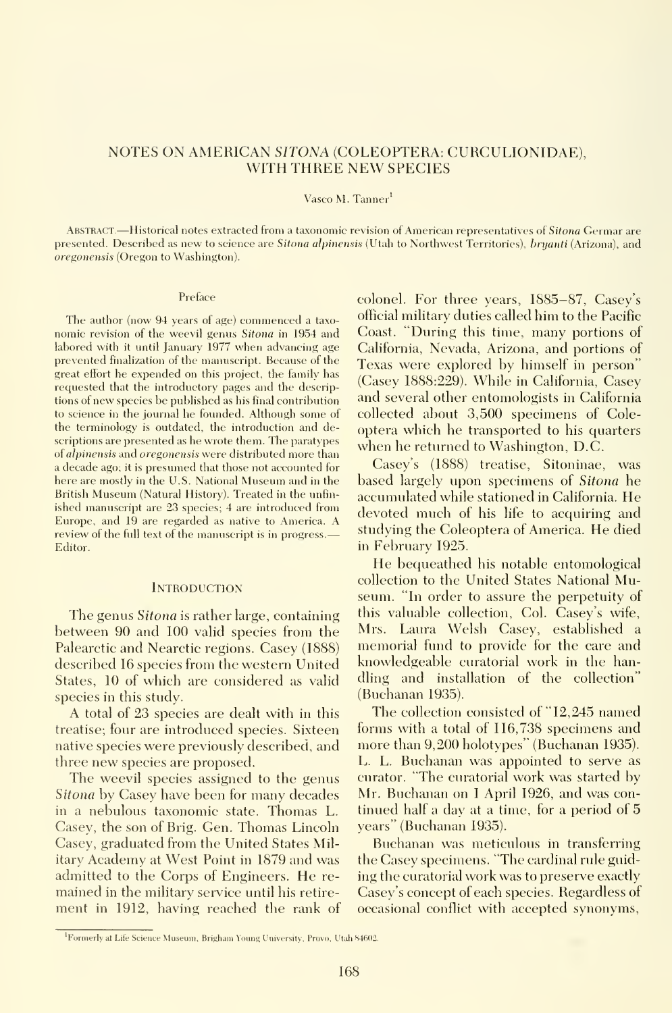#### NOTES ON AMERICAN SITONA (COLEOPTERA: CURCULIONIDAE), WITH THREE NEW SPECIES

#### Vasco M. Tanner

ABSTRACT.—Historical notes extracted from a taxonomic revision of American representatives of Sitona Germar are presented. Described as new to science are Sitona alpinensis (Utah to Northwest Territories), bruanti (Arizona), and oregonensis (Oregon to Washington).

#### Preface

The author (now 94 years of age) commenced a taxonomic revision of the weevil genus Sitona in 1954 and labored with it until January 1977 when advancing age prevented finalization of the manuscript. Because of the great effort he expended on this project, the family has requested that the introductory pages and the descriptions of new species be published as his final contribution to science in the journal he founded. Although some of the terminology is outdated, the introduction and descriptions are presented as he wrote them. The paratypes of alpinensis and oregonensis were distributed more than a decade ago; it is presumed that those not accounted for here are mostly in the U.S. National Museum and in the British Museum (Natural History). Treated in the unfin ished manuscript are 23 species; 4 are introduced from Europe, and 19 are regarded as native to America. A review of the full text of the manuscript is in progress.-Editor.

#### **INTRODUCTION**

The genus Sitona is rather large, containing between 90 and 100 valid species from the Palearctic and Nearctic regions. Casey (1888) described 16 species from the western United States, 10 of which are considered as valid species in this study.

A total of 23 species are dealt with in this treatise; four are introduced species. Sixteen native species were previously described, and three new species are proposed.

The weevil species assigned to the genus Sitona by Casey have been for many decades in a nebulous taxonomic state. Thomas L. Casey, the son of Brig. Gen. Thomas Lincoln Casey, graduated from the United States Military Academy at West Point in 1879 and was admitted to the Corps of Engineers. He re mained in the military service until his retire ment in 1912, having reached the rank of colonel. For three years, 1885-87, Casey's official military duties called him to the Pacific Coast. "During this time, many portions of California, Nevada, Arizona, and portions of Texas were explored bv himself in person " (Casey 1888:229). While in California, Casey and several other entomologists in California collected about 3,500 specimens of Coleoptera which he transported to his quarters when he returned to Washington, D.C.

Casey's (1888) treatise, Sitoninae, was based largely upon specimens of Sitona he accumulated while stationed in California. He devoted much of his life to acquiring and studying the Coleoptera of America. He died in February 1925.

He bequeathed his notable entomological collection to the United States National Museum. "In order to assure the perpetuity of this valuable collection, Col. Casey's wife, Mrs. Laura Welsh Casey, established a memorial fund to provide for the care and knowledgeable curatorial work in the handling and installation of the collection (Buchanan 1935).

The collection consisted of "12,245 named forms with a total of 116,738 specimens and more than 9,200 holotypes" (Buchanan 1935). L. L. Buchanan was appointed to serve as curator. "The curatorial work was started by Mr. Buchanan on <sup>1</sup>April 1926, and was con tinued half a day at a time, for a period of 5 years " (Buchanan 1935).

Buchanan was meticulous in transferring the Casey specimens. "The cardinal rule guiding the curatorial work was to preserve exactly Casey's concept of each species. Regardless of occasional conflict with accepted synonyms,

<sup>&</sup>lt;sup>1</sup>Formerly at Life Science Museum, Brigham Young University, Provo, Utah 84602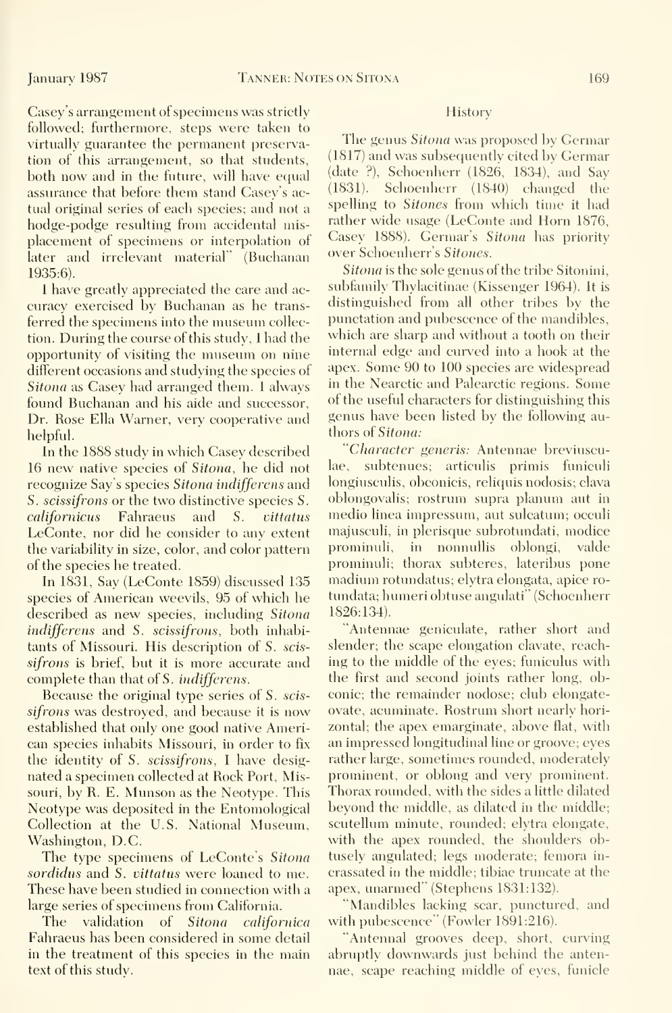Casey's arrangement of specimens was strictly followed; furthermore, steps were taken to virtually guarantee the permanent preservation of this arrangement, so that students, both now and in the future, will have equal assurance that before them stand Casey's actual original series of each species; and not a hodge-podge resulting from accidental misplacement of specimens or interpolation of later and irrelevant material' (Buchanan 1935:6).

<sup>I</sup> have greatly appreciated the care and ac curacy exercised by Buchanan as he trans ferred the specimens into the museum collection. During the course of this study, <sup>I</sup> had the opportunity of visiting the museum on nine different occasions and studying the species of Sitona as Casey had arranged them. <sup>1</sup> always found Buchanan and his aide and successor. Dr. Rose Ella Warner, very cooperative and helpful.

In the 1888 study in which Casey described 16 new native species of *Sitona*, he did not lae, recognize Say's species Sitona indifferens and S. scissifrons or the two distinctive species S. californicus Fahraeus and S. vittatus LeConte, nor did he consider to any extent the variability in size, color, and color pattern of the species he treated.

In 1831, Say (LeConte 1859) discussed 135 species of American weevils, 95 of which he described as new species, including Sitona indifferens and S. scissifrons, both inhabitants of Missouri. His description of S. scis sifrons is brief, but it is more accurate and complete than that of S. indifferens.

Because the original type series of S. scis sifrons was destroyed, and because it is now established that only one good native American species inhabits Missouri, in order to fix the identity of S. scissifrons, <sup>I</sup> have designated a specimen collected at Rock Port, Missouri, by R. E. Munson as the Neotype. This Neotype was deposited in the Entomological Collection at the U.S. National Museum, Washington, D.C.

The type specimens of LeConte's Sitona sordidus and S. vittatus were loaned to me. These have been studied in connection with a large series of specimens from California.

The validation of Sitona californica Fahraeus has been considered in some detail in the treatment of this species in the main text of this studv.

#### **History**

The genus Sitona was proposed by Germar (1817) and was subsequentlv cited by Germar (date ?), Schoenherr (1826, 1834), and Say (1831). Schoenherr (1840) changed the spelling to Sitones from which time it had rather wide usage (LeConte and Horn 1876, Casey 1888). Germar's Sitona has priority over Schoenherr's Sitones.

Sitona is the sole genus of the tribe Sitonini, subfamily Thylacitinae (Kissenger 1964). It is distinguished from all other tribes by the punctation and pubescence of the mandibles, which are sharp and without a tooth on their internal edge and curved into a hook at the apex. Some 90 to 100 species are widespread in the Nearctic and Palearctic regions. Some of the useful characters for distinguishing this genus have been listed by the following authors of Sitona:

'Character generis: Antennae breviuscusubtenues; articulis primis funiculi longiusculis, obconicis, reliquis nodosis; clava oblongovalis; rostrum supra planum aut in medio linea impressum, aut sulcatum; occuli majusculi, in plerisque subrotundati, modice prominuli, in nonnullis oblongi, valde prominuli; thorax subteres, lateribus pone madium rotundatus; elytra elongata, apice ro tundata; humeri obtuse angulati' (Schoenherr 1826:134).

"Antennae geniculate, rather short and slender; the scape elongation clavate, reaching to the middle of the eyes; funiculus with the first and second joints rather long, obconic; the remainder nodose; club elongateovate, acuminate. Rostrum short nearly horizontal; the apex emarginate, above flat, with an impressed longitudinal line or groove; eyes rather large, sometimes rounded, moderately prominent, or oblong and very prominent. Thorax rounded, with the sides a little dilated beyond the middle, as dilated in the middle; scutellum minute, rounded; elytra elongate, with the apex rounded, the shoulders obtusely angulated; legs moderate; femora in crassated in the middle; tibiae truncate at the apex, unarmed" (Stephens 1831:132).

"Mandibles lacking scar, punctured, and with pubescence" (Fowler 1891:216).

"Antennal grooves deep, short, curving abruptly downwards just behind the antennae, scape reaching middle of eyes, funicle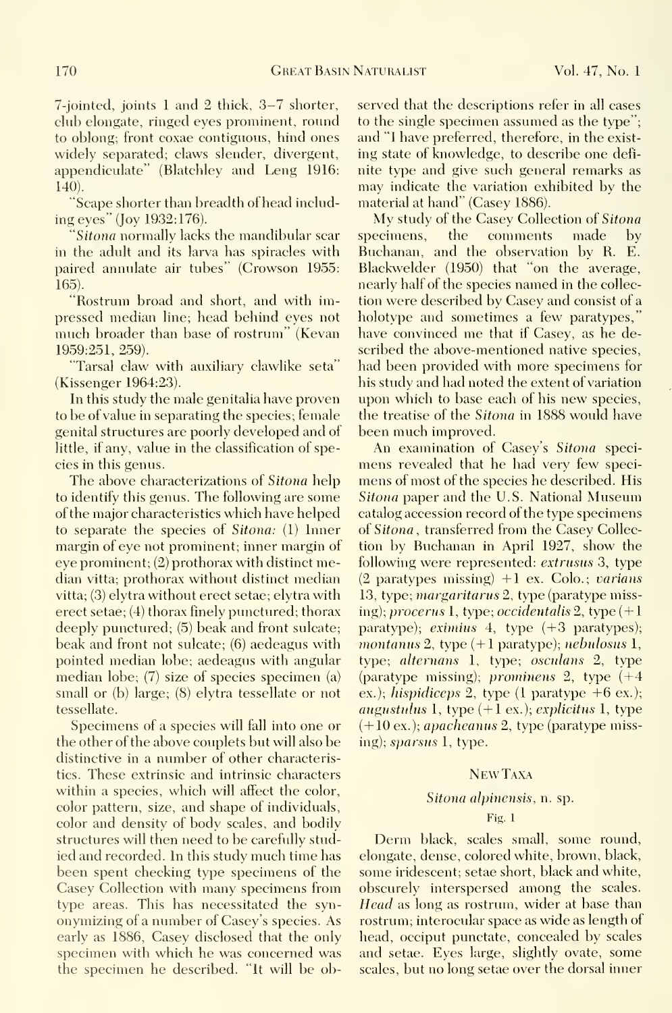7-jointed, joints <sup>1</sup> and 2 thick, 3-7 shorter, club elongate, ringed eyes prominent, round to oblong; front coxae contiguous, hind ones widely separated; claws slender, divergent, appendiculate" (Blatchley and Leng 1916: 140).

"Scape shorter than breadth ofhead including eyes" (Joy 1932:176).

Sitona normally lacks the mandibular scar specimens, in the adult and its larva has spiracles with paired annulate air tubes" (Crowson 1955: 165).

"Rostrum broad and short, and with impressed median line; head behind eyes not much broader than base of rostrum" (Kevan 1959:251, 259).

'Tarsal claw with auxiliary clawlike seta" (Kissenger 1964:23).

In this study the male genitalia have proven to be of value in separating the species; female genital structures are poorly developed and of little, if any, value in the classification of species in this genus.

The above characterizations of Sitona help to identify this genus. The following are some of the major characteristics which have helped to separate the species of Sitona: (1) Inner margin of eye not prominent; inner margin of eye prominent; (2) prothorax with distinct median vitta; prothorax without distinct median vitta; (3) elytra without erect setae; elytra with erect setae; (4) thorax finely punctured; thorax deeply punctured; (5) beak and front sulcate; beak and front not sulcate; (6) aedeagus with pointed median lobe; aedeagus with angular median lobe; (7) size of species specimen (a) small or (b) large; (8) elytra tessellate or not tessellate.

Specimens of a species will fall into one or the other of the above couplets but will also be distinctive in a number of other characteristics. These extrinsic and intrinsic characters within a species, which will affect the color, color pattern, size, and shape of individuals, color and density of body scales, and bodily structures will then need to be carefully stud ied and recorded. In this study much time has been spent checking type specimens of the Casey Collection with many specimens from type areas. This has necessitated the syn onymizing of a number of Casey's species. As early as 1886, Casey disclosed that the only specimen with which he was concerned was the specimen he described. "It will be observed that the descriptions refer in all cases to the single specimen assumed as the type"; and "I have preferred, therefore, in the exist ing state of knowledge, to describe one defi nite type and give such general remarks as may indicate the variation exhibited by the material at hand" (Casey 1886).

My study of the Casey Collection of Sitona the comments made by Buchanan, and the observation by R. E. Blackwelder (1950) that "on the average, nearly half of the species named in the collec tion were described by Casey and consist of a holotype and sometimes a few paratypes, 'have convinced me that if Casey, as he described the above-mentioned native species, had been provided with more specimens for his study and had noted the extent of variation upon which to base each of his new species, the treatise of the Sitona in 1888 would have been much improved.

An examination of Casey's Sitona speci mens revealed that he had very few speci mens of most of the species he described. His Sitona paper and the U.S. National Museum catalog accession record of the type specimens of Sitona , transferred from the Casey Collection by Buchanan in April 1927, show the following were represented: extrusus 3, type  $(2$  paratypes missing)  $+1$  ex. Colo.; varians 13, type; margaritarus 2, type (paratype missing); procerus 1, type; occidentalis 2, type  $(+1)$ paratype); eximius  $4$ , type  $(+3$  paratypes); montanus 2, type  $(+1$  paratype); nebulosus 1, type; alternans 1, type; osculans 2, type (paratype missing); prominens 2, type (+4 ex.); hispidiceps 2, type  $(1$  paratype  $+6$  ex.); augustulus 1, type  $(+1 \text{ ex.})$ ; explicitus 1, type (+10 ex.); apacheanus 2, type (paratype missing); *sparsus* 1, type.

#### NewTaxa

#### Sitona alpinensis, n. sp.

#### Fig. 1

Derm black, scales small, some round, elongate, dense, colored white, brown, black, some iridescent; setae short, black and white, obscurely interspersed among the scales. Head as long as rostrum, wider at base than rostrum; interocular space as wide as length of head, occiput punctate, concealed by scales and setae. Eyes large, slightly ovate, some scales, but no long setae over the dorsal inner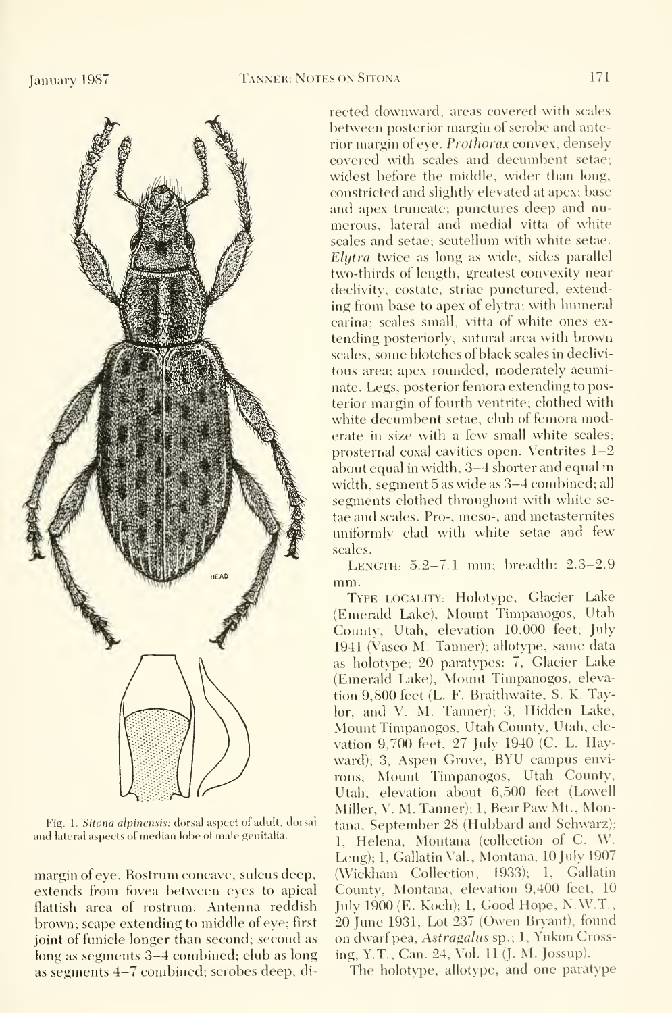

Fig. 1. Sitona alpinensis: dorsal aspect of adult, dorsal and lateral aspects of median lobe of male genitalia.

margin of eye. Rostrum concave, sulcus deep, extends from fovea between eyes to apical flattish area of rostrum. Antenna reddish brown; scape extending to middle of eye; first joint of funicle longer than second; second as long as segments 3-4 combined; club as long as segments 4-7 combined; scrobes deep, directed downward, areas covered with scales between posterior margin of scrobe and anterior margin of eye. Prothorax convex, densely covered with scales and decumbent setae; widest before the middle, wider than long, constricted and slightly elevated at apex; base and apex truncate; punctures deep and nu merous, lateral and medial vitta of white scales and setae; scutellum with white setae. Elytra twice as long as wide, sides parallel two-thirds of length, greatest convexity near declivity, costate, striae punctured, extending from base to apex of elytra; with humeral carina; scales small, vitta of white ones ex tending posteriorly, sutural area with brown scales, some blotches of black scales in declivi tous area; apex rounded, moderately acuminate. Legs, posterior femora extending to posterior margin of fourth ventrite; clothed with white decumbent setae, club of femora moderate in size with a few small white scales; prosternal coxal cavities open. Ventrites 1-2 about equal in width, 3-4 shorter and equal in width, segment 5 as wide as 3-4 combined; all segments clothed throughout with white se tae and scales. Pro-, meso-, and metasternites uniformly clad with white setae and few scales.

LENGTH: 5.2-7.1 mm; breadth: 2.3-2.9 mm.

Type locality: Holotype, Glacier Lake (Emerald Lake), Mount Timpanogos, Utah County, Utah, elevation 10,000 feet; July 1941 (Vasco M. Tanner); allotype, same data as holotype; 20 paratypes: 7, Glacier Lake (Emerald Lake), Mount Timpanogos, elevation 9,800 feet (L. F. Braithwaite, S. K. Taylor, and V. M. Tanner); 3, Hidden Lake, Mount Timpanogos, Utah County, Utah, ele vation 9,700 feet, 27 July 1940 (C. L. Hayward); 3, Aspen Grove, BYU campus environs. Mount Timpanogos, Utah County, Utah, elevation about 6,500 feet (Lowell Miller, V. M. Tanner); 1, Bear Paw Mt., Montana, September 28 (Hubbard and Schwarz); 1, Helena, Montana (collection of C. W. Leng); 1, Gallatin Val., Montana, 10 July 1907 (Wickham Collection, 1933); 1, Gallatin Countv, Montana, elevation 9,400 feet, 10 Julv 1900 (E. Koch); 1, Good Hope, N.W.T., 20 June 1931, Lot 237 (Owen Bryant), found on dwarf pea. Astragalus sp.; 1, Yukon Crossing, Y.T., Can. 24, Vol. <sup>11</sup> (J. M. Jossup).

The holotype, allotype, and one paratype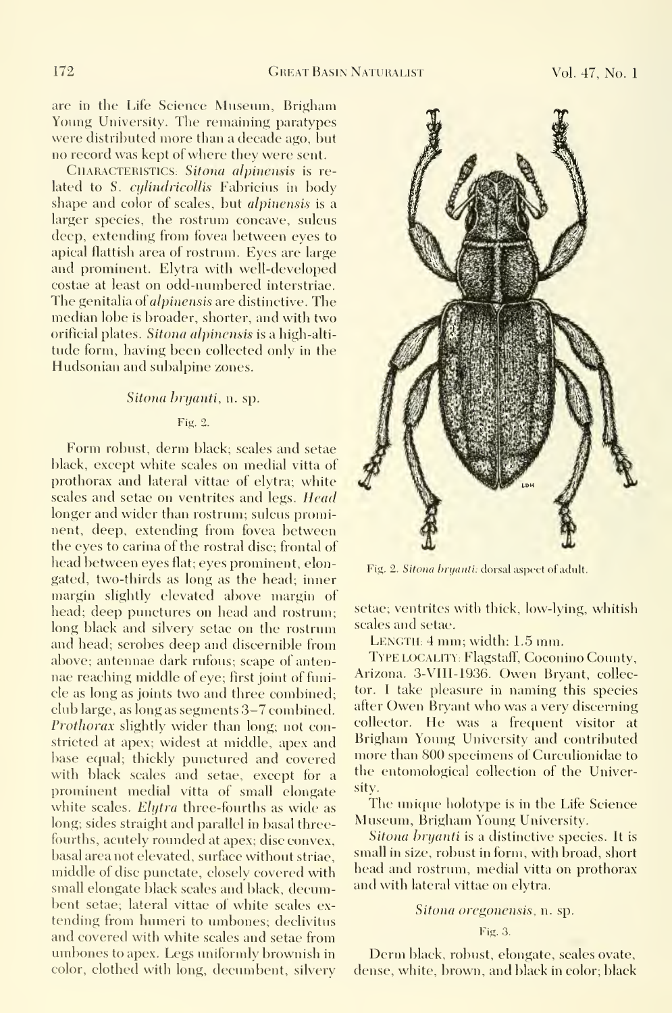are in the Life Science Museum, Brigham Young University. The remaining paratypes were distributed more than a decade ago, but no record was kept of where they were sent.

CHARACTERISTICS: Sitona alpinensis is related to S. *cylindricollis* Fabricius in body shape and color of scales, but alpinensis is a larger species, the rostrum concave, sulcus deep, extending from fovea between eyes to apical flattish area of rostrum. Eyes are large and prominent. Elytra with well-developed costae at least on odd-numbered interstriae. The genitalia of *alpinensis* are distinctive. The median lobe is broader, shorter, and with two orificial plates. Sitona alpinensis is a high-altitude form, having been collected only in the Hudsonian and subalpine zones.

#### Sitona bryanti, n. sp.

#### Fig. 2.

Form robust, derm black; scales and setae black, except white scales on medial vitta of prothorax and lateral vittae of elytra; white scales and setae on ventrites and legs. Head longer and wider than rostrum; sulcus prominent, deep, extending from fovea between the eyes to carina of the rostral disc; frontal of head between eyes flat; eyes prominent, elongated, two-thirds as long as the head; inner margin slightly elevated above margin of head; deep punctures on head and rostrum; long black and silvery setae on the rostrum and head; scrobes deep and discernible from above; antennae dark rufous; scape of anten nae reaching middle of eye; first joint of funicle as long as joints two and three combined; club large, as long as segments 3-7 combined. Prothorax slightly wider than long; not constricted at apex; widest at middle, apex and base equal; thickly punctured and covered with black scales and setae, except for a prominent medial vitta of small elongate white scales. Elytra three-fourths as wide as long; sides straight and parallel in basal threefourths, acutely rounded at apex; disc convex, basal area not elevated, surface without striae, middle of disc punctate, closely covered with small elongate black scales and black, decumbent setae; lateral vittae of white scales ex tending from humeri to umbones; declivitus and covered with white scales and setae from umbones to apex. Legs uniformly brownish in color, clothed with long, decumbent, silvery



Fig. 2. Sitona bryanti: dorsal aspect of adult.

setae; ventrites with thick, low-lying, whitish scales and setae.

LENGTH; 4 mm; width: 1.5 mm.

TYPE LOCALITY: Flagstaff, Coconino County, Arizona. 3-VIII-1936. Owen Bryant, collector. <sup>I</sup> take pleasure in naming this species after Owen Bryant who was <sup>a</sup> very discerning collector. He was a frequent visitor at Brigham Young University and contributed more than 800 specimens of Curculionidae to the entomological collection of the University.

The unique holotype is in the Life Science Museum, Brigham Young University.

Sitona bryanti is a distinctive species. It is small in size, robust in form, with broad, short head and rostrum, medial vitta on prothorax and with lateral vittae on elytra.

#### Sitona oregonensis, n. sp.

#### Fig. 3.

Derm black, robust, elongate, scales ovate, dense, white, brown, and black in color; black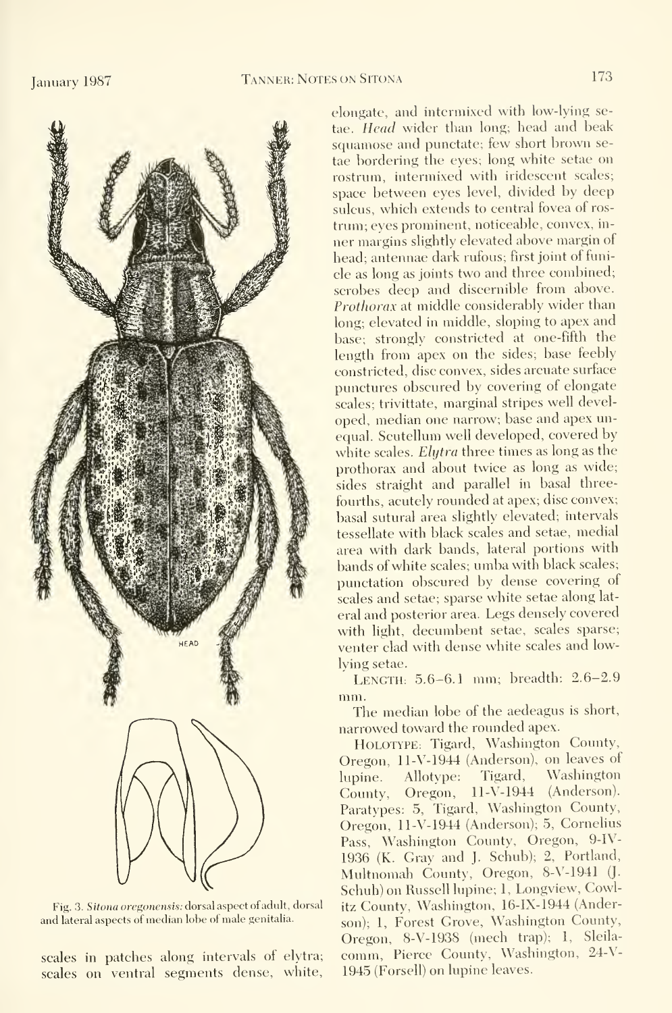

Fig. 3. Sitona oregonensis: dorsal aspect ofadult, dorsal and lateral aspects of median lobe of male genitalia.

scales in patches along intervals of elytra; scales on ventral segments dense, white,

elongate, and intermixed with low-lying setae. Head wider than long; head and beak squamose and punctate; few short brown se tae bordering the eyes; long white setae on rostrum, intermixed with iridescent scales; space between eyes level, divided by deep sulcus, which extends to central fovea of ros trum; eyes prominent, noticeable, convex, in ner margins slightly elevated above margin of head; antennae dark rufous; first joint of funicle as long as joints two and three combined; scrobes deep and discernible from above. Prothorax at middle considerably wider than long; elevated in middle, sloping to apex and base; strongly constricted at one-fifth the length from apex on the sides; base feebly constricted, disc convex, sides arcuate surface punctures obscured by covering of elongate scales; trivittate, marginal stripes well developed, median one narrow; base and apex unequal. Scutellum well developed, covered by white scales. Elytra three times as long as the prothorax and about twice as long as wide; sides straight and parallel in basal threefourths, acutely rounded at apex; disc convex; basal sutural area slightly elevated; intervals tessellate with black scales and setae, medial area with dark bands, lateral portions with bands of white scales; umba with black scales; punctation obscured by dense covering of scales and setae; sparse white setae along lat eral and posterior area. Legs densely covered with light, decumbent setae, scales sparse; venter clad with dense white scales and lowlying setae.

LENGTH; 5.6-6.1 mm; breadth: 2.6-2.9 mm.

The median lobe of the aedeagus is short, narrowed toward the rounded apex.

HOLOTYPE: Tigard, Washington County, Oregon, ll-V-1944 (Anderson), on leaves of lupine. Allotype: Tigard, Washington County, Oregon, ll-V-1944 (Anderson). Paratypes: 5, Tigard, Washington County, Oregon, ll-V-1944 (Anderson); 5, Cornelius Pass, Washington County, Oregon, 9-IV-1936 (K. Gray and J. Schub); 2, Portland, Multnomah County, Oregon, 8-V-1941 (J. Schuh) on Russell lupine; 1, Longview, Cowlitz County, Washington, 16-IX-1944 (Anderson); 1, Forest Grove, Washington County, Oregon, 8-V-1938 (mech trap); 1, Sleila comm. Pierce County, Washington, 24-V-1945 (Forsell) on lupine leaves.